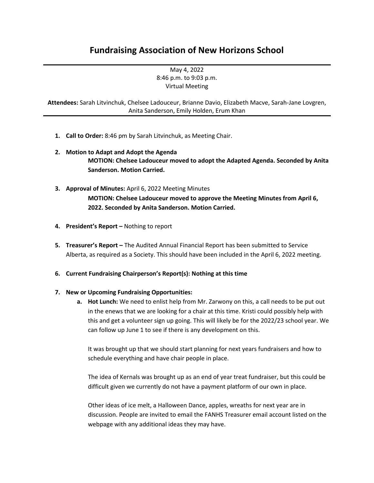## **Fundraising Association of New Horizons School**

May 4, 2022 8:46 p.m. to 9:03 p.m. Virtual Meeting

**Attendees:** Sarah Litvinchuk, Chelsee Ladouceur, Brianne Davio, Elizabeth Macve, Sarah-Jane Lovgren, Anita Sanderson, Emily Holden, Erum Khan

- **1. Call to Order:** 8:46 pm by Sarah Litvinchuk, as Meeting Chair.
- **2. Motion to Adapt and Adopt the Agenda MOTION: Chelsee Ladouceur moved to adopt the Adapted Agenda. Seconded by Anita Sanderson. Motion Carried.**
- **3. Approval of Minutes:** April 6, 2022 Meeting Minutes **MOTION: Chelsee Ladouceur moved to approve the Meeting Minutes from April 6, 2022. Seconded by Anita Sanderson. Motion Carried.**
- **4. President's Report –** Nothing to report
- **5. Treasurer's Report –** The Audited Annual Financial Report has been submitted to Service Alberta, as required as a Society. This should have been included in the April 6, 2022 meeting.
- **6. Current Fundraising Chairperson's Report(s): Nothing at this time**

## **7. New or Upcoming Fundraising Opportunities:**

**a. Hot Lunch:** We need to enlist help from Mr. Zarwony on this, a call needs to be put out in the enews that we are looking for a chair at this time. Kristi could possibly help with this and get a volunteer sign up going. This will likely be for the 2022/23 school year. We can follow up June 1 to see if there is any development on this.

It was brought up that we should start planning for next years fundraisers and how to schedule everything and have chair people in place.

The idea of Kernals was brought up as an end of year treat fundraiser, but this could be difficult given we currently do not have a payment platform of our own in place.

Other ideas of ice melt, a Halloween Dance, apples, wreaths for next year are in discussion. People are invited to email the FANHS Treasurer email account listed on the webpage with any additional ideas they may have.